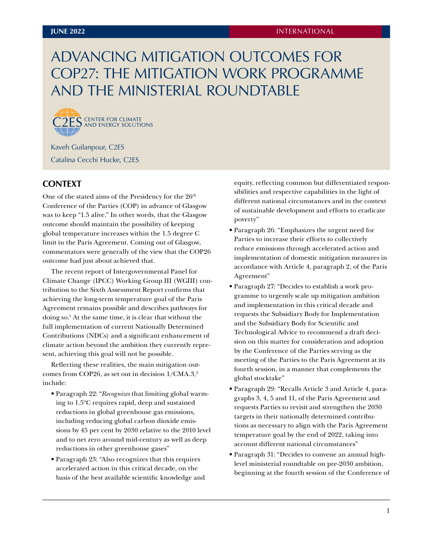# <span id="page-0-0"></span>ADVANCING MITIGATION OUTCOMES FOR COP27: THE MITIGATION WORK PROGRAMME AND THE MINISTERIAL ROUNDTABLE



Kaveh Guilanpour, C2ES Catalina Cecchi Hucke, C2ES

# **CONTEXT**

One of the stated aims of the Presidency for the 26<sup>th</sup> Conference of the Parties (COP) in advance of Glasgow was to keep "1.5 alive." In other words, that the Glasgow outcome should maintain the possibility of keeping global temperature increases within the 1.5 degree C limit in the Paris Agreement. Coming out of Glasgow, commentators were generally of the view that the COP26 outcome had just about achieved that.

The recent report of Intergovernmental Panel for Climate Change (IPCC) Working Group III (WGIII) contribution to the Sixth Assessment Report confirms that achieving the long-term temperature goal of the Paris Agreement remains possible and describes pathways for doing so[.1](#page-7-0) At the same time, it is clear that without the full implementation of current Nationally Determined Contributions (NDCs) and a significant enhancement of climate action beyond the ambition they currently represent, achieving this goal will not be possible.

Reflecting these realities, the main mitigation outcomes from COP26, as set out in decision  $1/CMA.3$ ,<sup>2</sup> include:

- Paragraph 22: "*Recognizes* that limiting global warming to 1.5ºC requires rapid, deep and sustained reductions in global greenhouse gas emissions, including reducing global carbon dioxide emissions by 45 per cent by 2030 relative to the 2010 level and to net zero around mid-century as well as deep reductions in other greenhouse gases"
- Paragraph 23: "Also recognizes that this requires accelerated action in this critical decade, on the basis of the best available scientific knowledge and

equity, reflecting common but differentiated responsibilities and respective capabilities in the light of different national circumstances and in the context of sustainable development and efforts to eradicate poverty"

- Paragraph 26: "Emphasizes the urgent need for Parties to increase their efforts to collectively reduce emissions through accelerated action and implementation of domestic mitigation measures in accordance with Article 4, paragraph 2, of the Paris Agreement"
- Paragraph 27: "Decides to establish a work programme to urgently scale up mitigation ambition and implementation in this critical decade and requests the Subsidiary Body for Implementation and the Subsidiary Body for Scientific and Technological Advice to recommend a draft decision on this matter for consideration and adoption by the Conference of the Parties serving as the meeting of the Parties to the Paris Agreement at its fourth session, in a manner that complements the global stocktake"
- Paragraph 29: "Recalls Article 3 and Article 4, paragraphs 3, 4, 5 and 11, of the Paris Agreement and requests Parties to revisit and strengthen the 2030 targets in their nationally determined contributions as necessary to align with the Paris Agreement temperature goal by the end of 2022, taking into account different national circumstances"
- Paragraph 31: "Decides to convene an annual highlevel ministerial roundtable on pre-2030 ambition, beginning at the fourth session of the Conference of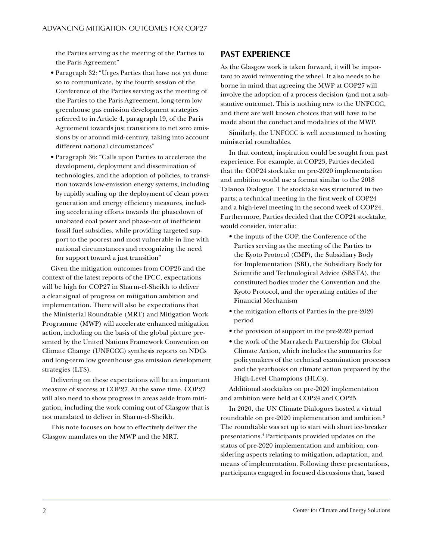<span id="page-1-0"></span>the Parties serving as the meeting of the Parties to the Paris Agreement"

- Paragraph 32: "Urges Parties that have not yet done so to communicate, by the fourth session of the Conference of the Parties serving as the meeting of the Parties to the Paris Agreement, long-term low greenhouse gas emission development strategies referred to in Article 4, paragraph 19, of the Paris Agreement towards just transitions to net zero emissions by or around mid-century, taking into account different national circumstances"
- Paragraph 36: "Calls upon Parties to accelerate the development, deployment and dissemination of technologies, and the adoption of policies, to transition towards low-emission energy systems, including by rapidly scaling up the deployment of clean power generation and energy efficiency measures, including accelerating efforts towards the phasedown of unabated coal power and phase-out of inefficient fossil fuel subsidies, while providing targeted support to the poorest and most vulnerable in line with national circumstances and recognizing the need for support toward a just transition"

Given the mitigation outcomes from COP26 and the context of the latest reports of the IPCC, expectations will be high for COP27 in Sharm-el-Sheikh to deliver a clear signal of progress on mitigation ambition and implementation. There will also be expectations that the Ministerial Roundtable (MRT) and Mitigation Work Programme (MWP) will accelerate enhanced mitigation action, including on the basis of the global picture presented by the United Nations Framework Convention on Climate Change (UNFCCC) synthesis reports on NDCs and long-term low greenhouse gas emission development strategies (LTS).

Delivering on these expectations will be an important measure of success at COP27. At the same time, COP27 will also need to show progress in areas aside from mitigation, including the work coming out of Glasgow that is not mandated to deliver in Sharm-el-Sheikh.

This note focuses on how to effectively deliver the Glasgow mandates on the MWP and the MRT.

## **PAST EXPERIENCE**

As the Glasgow work is taken forward, it will be important to avoid reinventing the wheel. It also needs to be borne in mind that agreeing the MWP at COP27 will involve the adoption of a process decision (and not a substantive outcome). This is nothing new to the UNFCCC, and there are well known choices that will have to be made about the conduct and modalities of the MWP.

Similarly, the UNFCCC is well accustomed to hosting ministerial roundtables.

In that context, inspiration could be sought from past experience. For example, at COP23, Parties decided that the COP24 stocktake on pre-2020 implementation and ambition would use a format similar to the 2018 Talanoa Dialogue. The stocktake was structured in two parts: a technical meeting in the first week of COP24 and a high-level meeting in the second week of COP24. Furthermore, Parties decided that the COP24 stocktake, would consider, inter alia:

- the inputs of the COP, the Conference of the Parties serving as the meeting of the Parties to the Kyoto Protocol (CMP), the Subsidiary Body for Implementation (SBI), the Subsidiary Body for Scientific and Technological Advice (SBSTA), the constituted bodies under the Convention and the Kyoto Protocol, and the operating entities of the Financial Mechanism
- the mitigation efforts of Parties in the pre-2020 period
- the provision of support in the pre-2020 period
- the work of the Marrakech Partnership for Global Climate Action, which includes the summaries for policymakers of the technical examination processes and the yearbooks on climate action prepared by the High-Level Champions (HLCs).

Additional stocktakes on pre-2020 implementation and ambition were held at COP24 and COP25.

In 2020, the UN Climate Dialogues hosted a virtual roundtable on pre-2020 implementation and ambition.[3](#page-7-0) The roundtable was set up to start with short ice-breaker presentations.[4](#page-7-0) Participants provided updates on the status of pre-2020 implementation and ambition, considering aspects relating to mitigation, adaptation, and means of implementation. Following these presentations, participants engaged in focused discussions that, based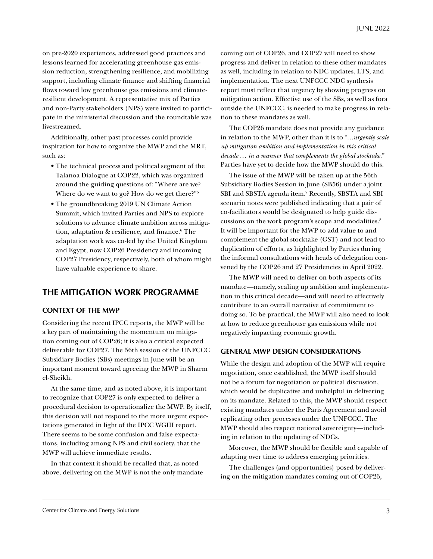<span id="page-2-0"></span>on pre-2020 experiences, addressed good practices and lessons learned for accelerating greenhouse gas emission reduction, strengthening resilience, and mobilizing support, including climate finance and shifting financial flows toward low greenhouse gas emissions and climateresilient development. A representative mix of Parties and non-Party stakeholders (NPS) were invited to participate in the ministerial discussion and the roundtable was livestreamed.

Additionally, other past processes could provide inspiration for how to organize the MWP and the MRT, such as:

- The technical process and political segment of the Talanoa Dialogue at COP22, which was organized around the guiding questions of: "Where are we? Where do we want to go? How do we get there?["5](#page-7-0)
- The groundbreaking 2019 UN Climate Action Summit, which invited Parties and NPS to explore solutions to advance climate ambition across mitigation, adaptation & resilience, and finance.[6](#page-7-0) The adaptation work was co-led by the United Kingdom and Egypt, now COP26 Presidency and incoming COP27 Presidency, respectively, both of whom might have valuable experience to share.

## **THE MITIGATION WORK PROGRAMME**

#### **CONTEXT OF THE MWP**

Considering the recent IPCC reports, the MWP will be a key part of maintaining the momentum on mitigation coming out of COP26; it is also a critical expected deliverable for COP27. The 56th session of the UNFCCC Subsidiary Bodies (SBs) meetings in June will be an important moment toward agreeing the MWP in Sharm el-Sheikh.

At the same time, and as noted above, it is important to recognize that COP27 is only expected to deliver a procedural decision to operationalize the MWP. By itself, this decision will not respond to the more urgent expectations generated in light of the IPCC WGIII report. There seems to be some confusion and false expectations, including among NPS and civil society, that the MWP will achieve immediate results.

In that context it should be recalled that, as noted above, delivering on the MWP is not the only mandate coming out of COP26, and COP27 will need to show progress and deliver in relation to these other mandates as well, including in relation to NDC updates, LTS, and implementation. The next UNFCCC NDC synthesis report must reflect that urgency by showing progress on mitigation action. Effective use of the SBs, as well as fora outside the UNFCCC, is needed to make progress in relation to these mandates as well.

The COP26 mandate does not provide any guidance in relation to the MWP, other than it is to "…*urgently scale up mitigation ambition and implementation in this critical decade … in a manner that complements the global stocktake.*" Parties have yet to decide how the MWP should do this.

The issue of the MWP will be taken up at the 56th Subsidiary Bodies Session in June (SB56) under a joint SBI and SBSTA agenda item[.7](#page-7-0) Recently, SBSTA and SBI scenario notes were published indicating that a pair of co-facilitators would be designated to help guide discussions on the work program's scope and modalities.[8](#page-7-0) It will be important for the MWP to add value to and complement the global stocktake (GST) and not lead to duplication of efforts, as highlighted by Parties during the informal consultations with heads of delegation convened by the COP26 and 27 Presidencies in April 2022.

The MWP will need to deliver on both aspects of its mandate—namely, scaling up ambition and implementation in this critical decade—and will need to effectively contribute to an overall narrative of commitment to doing so. To be practical, the MWP will also need to look at how to reduce greenhouse gas emissions while not negatively impacting economic growth.

#### **GENERAL MWP DESIGN CONSIDERATIONS**

While the design and adoption of the MWP will require negotiation, once established, the MWP itself should not be a forum for negotiation or political discussion, which would be duplicative and unhelpful in delivering on its mandate. Related to this, the MWP should respect existing mandates under the Paris Agreement and avoid replicating other processes under the UNFCCC. The MWP should also respect national sovereignty—including in relation to the updating of NDCs.

Moreover, the MWP should be flexible and capable of adapting over time to address emerging priorities.

The challenges (and opportunities) posed by delivering on the mitigation mandates coming out of COP26,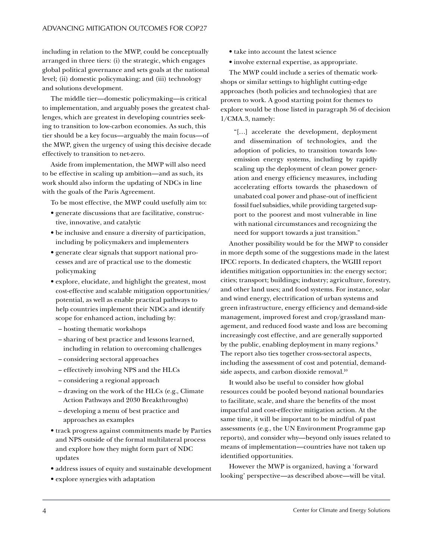<span id="page-3-0"></span>including in relation to the MWP, could be conceptually arranged in three tiers: (i) the strategic, which engages global political governance and sets goals at the national level; (ii) domestic policymaking; and (iii) technology and solutions development.

The middle tier—domestic policymaking—is critical to implementation, and arguably poses the greatest challenges, which are greatest in developing countries seeking to transition to low-carbon economies. As such, this tier should be a key focus—arguably the main focus—of the MWP, given the urgency of using this decisive decade effectively to transition to net-zero.

Aside from implementation, the MWP will also need to be effective in scaling up ambition—and as such, its work should also inform the updating of NDCs in line with the goals of the Paris Agreement.

To be most effective, the MWP could usefully aim to:

- generate discussions that are facilitative, constructive, innovative, and catalytic
- be inclusive and ensure a diversity of participation, including by policymakers and implementers
- generate clear signals that support national processes and are of practical use to the domestic policymaking
- explore, elucidate, and highlight the greatest, most cost-effective and scalable mitigation opportunities/ potential, as well as enable practical pathways to help countries implement their NDCs and identify scope for enhanced action, including by:
	- hosting thematic workshops
	- sharing of best practice and lessons learned, including in relation to overcoming challenges
	- considering sectoral approaches
	- effectively involving NPS and the HLCs
	- considering a regional approach
	- drawing on the work of the HLCs (e.g., Climate Action Pathways and 2030 Breakthroughs)
	- developing a menu of best practice and approaches as examples
- track progress against commitments made by Parties and NPS outside of the formal multilateral process and explore how they might form part of NDC updates
- address issues of equity and sustainable development
- explore synergies with adaptation
- take into account the latest science
- involve external expertise, as appropriate.

The MWP could include a series of thematic workshops or similar settings to highlight cutting-edge approaches (both policies and technologies) that are proven to work. A good starting point for themes to explore would be those listed in paragraph 36 of decision 1/CMA.3, namely:

"[…] accelerate the development, deployment and dissemination of technologies, and the adoption of policies, to transition towards lowemission energy systems, including by rapidly scaling up the deployment of clean power generation and energy efficiency measures, including accelerating efforts towards the phasedown of unabated coal power and phase-out of inefficient fossil fuel subsidies, while providing targeted support to the poorest and most vulnerable in line with national circumstances and recognizing the need for support towards a just transition."

Another possibility would be for the MWP to consider in more depth some of the suggestions made in the latest IPCC reports. In dedicated chapters, the WGIII report identifies mitigation opportunities in: the energy sector; cities; transport; buildings; industry; agriculture, forestry, and other land uses; and food systems. For instance, solar and wind energy, electrification of urban systems and green infrastructure, energy efficiency and demand-side management, improved forest and crop/grassland management, and reduced food waste and loss are becoming increasingly cost effective, and are generally supported by the public, enabling deployment in many regions.<sup>[9](#page-7-0)</sup> The report also ties together cross-sectoral aspects, including the assessment of cost and potential, demandside aspects, and carbon dioxide removal.<sup>10</sup>

It would also be useful to consider how global resources could be pooled beyond national boundaries to facilitate, scale, and share the benefits of the most impactful and cost-effective mitigation action. At the same time, it will be important to be mindful of past assessments (e.g., the UN Environment Programme gap reports), and consider why—beyond only issues related to means of implementation—countries have not taken up identified opportunities.

However the MWP is organized, having a 'forward looking' perspective—as described above—will be vital.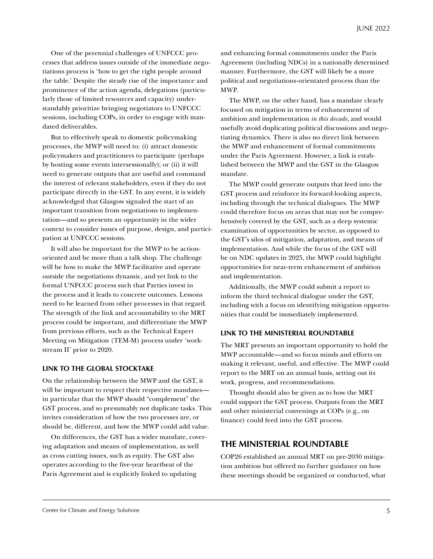One of the perennial challenges of UNFCCC processes that address issues outside of the immediate negotiations process is 'how to get the right people around the table.' Despite the steady rise of the importance and prominence of the action agenda, delegations (particularly those of limited resources and capacity) understandably prioritize bringing negotiators to UNFCCC sessions, including COPs, in order to engage with mandated deliverables.

But to effectively speak to domestic policymaking processes, the MWP will need to: (i) attract domestic policymakers and practitioners to participate (perhaps by hosting some events intersessionally); or (ii) it will need to generate outputs that are useful and command the interest of relevant stakeholders, even if they do not participate directly in the GST. In any event, it is widely acknowledged that Glasgow signaled the start of an important transition from negotiations to implementation—and so presents an opportunity in the wider context to consider issues of purpose, design, and participation at UNFCCC sessions.

It will also be important for the MWP to be actionoriented and be more than a talk shop. The challenge will be how to make the MWP facilitative and operate outside the negotiations dynamic, and yet link to the formal UNFCCC process such that Parties invest in the process and it leads to concrete outcomes. Lessons need to be learned from other processes in that regard. The strength of the link and accountability to the MRT process could be important, and differentiate the MWP from previous efforts, such as the Technical Expert Meeting on Mitigation (TEM-M) process under 'workstream II' prior to 2020.

#### **LINK TO THE GLOBAL STOCKTAKE**

On the relationship between the MWP and the GST, it will be important to respect their respective mandates in particular that the MWP should "complement" the GST process, and so presumably not duplicate tasks. This invites consideration of how the two processes are, or should be, different, and how the MWP could add value.

On differences, the GST has a wider mandate, covering adaptation and means of implementation, as well as cross cutting issues, such as equity. The GST also operates according to the five-year heartbeat of the Paris Agreement and is explicitly linked to updating

and enhancing formal commitments under the Paris Agreement (including NDCs) in a nationally determined manner. Furthermore, the GST will likely be a more political and negotiations-orientated process than the MWP.

The MWP, on the other hand, has a mandate clearly focused on mitigation in terms of enhancement of ambition and implementation *in this decade*, and would usefully avoid duplicating political discussions and negotiating dynamics. There is also no direct link between the MWP and enhancement of formal commitments under the Paris Agreement. However, a link is established between the MWP and the GST in the Glasgow mandate.

The MWP could generate outputs that feed into the GST process and reinforce its forward-looking aspects, including through the technical dialogues. The MWP could therefore focus on areas that may not be comprehensively covered by the GST, such as a deep systemic examination of opportunities by sector, as opposed to the GST's silos of mitigation, adaptation, and means of implementation. And while the focus of the GST will be on NDC updates in 2025, the MWP could highlight opportunities for near-term enhancement of ambition and implementation.

Additionally, the MWP could submit a report to inform the third technical dialogue under the GST, including with a focus on identifying mitigation opportunities that could be immediately implemented.

#### **LINK TO THE MINISTERIAL ROUNDTABLE**

The MRT presents an important opportunity to hold the MWP accountable—and so focus minds and efforts on making it relevant, useful, and effective. The MWP could report to the MRT on an annual basis, setting out its work, progress, and recommendations.

Thought should also be given as to how the MRT could support the GST process. Outputs from the MRT and other ministerial convenings at COPs (e.g., on finance) could feed into the GST process.

### **THE MINISTERIAL ROUNDTABLE**

COP26 established an annual MRT on pre-2030 mitigation ambition but offered no further guidance on how these meetings should be organized or conducted, what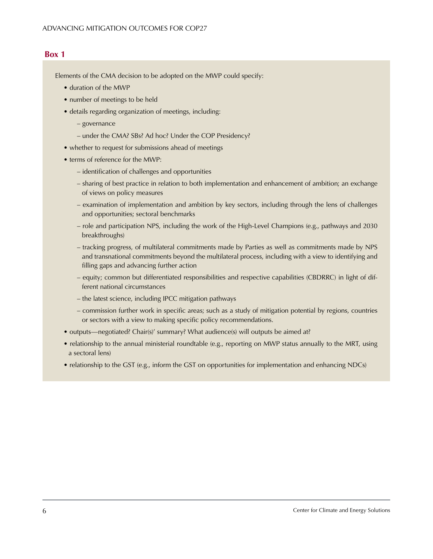## **Box 1**

Elements of the CMA decision to be adopted on the MWP could specify:

- duration of the MWP
- number of meetings to be held
- details regarding organization of meetings, including:
	- governance
	- under the CMA? SBs? Ad hoc? Under the COP Presidency?
- whether to request for submissions ahead of meetings
- terms of reference for the MWP:
	- identification of challenges and opportunities
	- sharing of best practice in relation to both implementation and enhancement of ambition; an exchange of views on policy measures
	- examination of implementation and ambition by key sectors, including through the lens of challenges and opportunities; sectoral benchmarks
	- role and participation NPS, including the work of the High-Level Champions (e.g., pathways and 2030 breakthroughs)
	- tracking progress, of multilateral commitments made by Parties as well as commitments made by NPS and transnational commitments beyond the multilateral process, including with a view to identifying and filling gaps and advancing further action
	- equity; common but differentiated responsibilities and respective capabilities (CBDRRC) in light of different national circumstances
	- the latest science, including IPCC mitigation pathways
	- commission further work in specific areas; such as a study of mitigation potential by regions, countries or sectors with a view to making specific policy recommendations.
- outputs—negotiated? Chair(s)' summary? What audience(s) will outputs be aimed at?
- relationship to the annual ministerial roundtable (e.g., reporting on MWP status annually to the MRT, using a sectoral lens)
- relationship to the GST (e.g., inform the GST on opportunities for implementation and enhancing NDCs)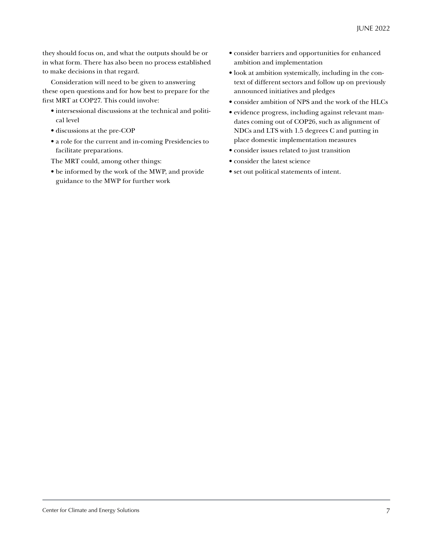they should focus on, and what the outputs should be or in what form. There has also been no process established to make decisions in that regard.

Consideration will need to be given to answering these open questions and for how best to prepare for the first MRT at COP27. This could involve:

- intersessional discussions at the technical and political level
- discussions at the pre-COP
- a role for the current and in-coming Presidencies to facilitate preparations.
- The MRT could, among other things:
- be informed by the work of the MWP, and provide guidance to the MWP for further work
- consider barriers and opportunities for enhanced ambition and implementation
- look at ambition systemically, including in the context of different sectors and follow up on previously announced initiatives and pledges
- consider ambition of NPS and the work of the HLCs
- evidence progress, including against relevant mandates coming out of COP26, such as alignment of NDCs and LTS with 1.5 degrees C and putting in place domestic implementation measures
- consider issues related to just transition
- consider the latest science
- set out political statements of intent.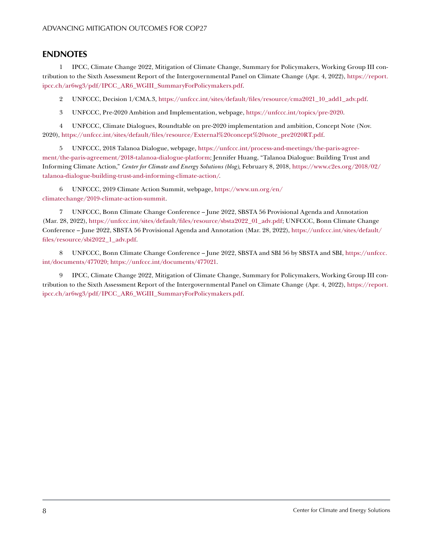## <span id="page-7-0"></span>**ENDNOTES**

[1](#page-0-0) IPCC, Climate Change 2022, Mitigation of Climate Change, Summary for Policymakers, Working Group III contribution to the Sixth Assessment Report of the Intergovernmental Panel on Climate Change (Apr. 4, 2022), [https://report.](https://report.ipcc.ch/ar6wg3/pdf/IPCC_AR6_WGIII_SummaryForPolicymakers.pdf) [ipcc.ch/ar6wg3/pdf/IPCC\\_AR6\\_WGIII\\_SummaryForPolicymakers.pdf](https://report.ipcc.ch/ar6wg3/pdf/IPCC_AR6_WGIII_SummaryForPolicymakers.pdf).

[2](#page-0-0) UNFCCC, Decision 1/CMA.3, [https://unfccc.int/sites/default/files/resource/cma2021\\_10\\_add1\\_adv.pdf](https://unfccc.int/sites/default/files/resource/cma2021_10_add1_adv.pdf).

[3](#page-1-0) UNFCCC, Pre-2020 Ambition and Implementation, webpage,<https://unfccc.int/topics/pre-2020>.

[4](#page-1-0) UNFCCC, Climate Dialogues, Roundtable on pre-2020 implementation and ambition, Concept Note (Nov. 2020), [https://unfccc.int/sites/default/files/resource/External%20concept%20note\\_pre2020RT.pdf](https://unfccc.int/sites/default/files/resource/External%20concept%20note_pre2020RT.pdf).

[5](#page-2-0) UNFCCC, 2018 Talanoa Dialogue, webpage, [https://unfccc.int/process-and-meetings/the-paris-agree](https://unfccc.int/process-and-meetings/the-paris-agreement/the-paris-agreement/2018-talanoa-dialogue-platform)[ment/the-paris-agreement/2018-talanoa-dialogue-platform](https://unfccc.int/process-and-meetings/the-paris-agreement/the-paris-agreement/2018-talanoa-dialogue-platform); Jennifer Huang, "Talanoa Dialogue: Building Trust and Informing Climate Action," *Center for Climate and Energy Solutions (blog),* February 8, 2018, [https://www.c2es.org/2018/02/](https://www.c2es.org/2018/02/talanoa-dialogue-building-trust-and-informing-climate-action/) [talanoa-dialogue-building-trust-and-informing-climate-action/.](https://www.c2es.org/2018/02/talanoa-dialogue-building-trust-and-informing-climate-action/)

[6](#page-2-0) UNFCCC, 2019 Climate Action Summit, webpage, [https://www.un.org/en/](https://www.un.org/en/climatechange/2019-climate-action-summit) [climatechange/2019-climate-action-summit.](https://www.un.org/en/climatechange/2019-climate-action-summit)

[7](#page-2-0) UNFCCC, Bonn Climate Change Conference – June 2022, SBSTA 56 Provisional Agenda and Annotation (Mar. 28, 2022), [https://unfccc.int/sites/default/files/resource/sbsta2022\\_01\\_adv.pdf](https://unfccc.int/sites/default/files/resource/sbsta2022_01_adv.pdf); UNFCCC, Bonn Climate Change Conference – June 2022, SBSTA 56 Provisional Agenda and Annotation (Mar. 28, 2022), [https://unfccc.int/sites/default/](https://unfccc.int/sites/default/files/resource/sbi2022_1_adv.pdf) [files/resource/sbi2022\\_1\\_adv.pdf.](https://unfccc.int/sites/default/files/resource/sbi2022_1_adv.pdf)

[8](#page-2-0) UNFCCC, Bonn Climate Change Conference – June 2022, SBSTA and SBI 56 by SBSTA and SBI, [https://unfccc.](https://unfccc.int/documents/477020) [int/documents/477020](https://unfccc.int/documents/477020); [https://unfccc.int/documents/477021.](https://unfccc.int/documents/477021)

[9](#page-3-0) IPCC, Climate Change 2022, Mitigation of Climate Change, Summary for Policymakers, Working Group III contribution to the Sixth Assessment Report of the Intergovernmental Panel on Climate Change (Apr. 4, 2022), [https://report.](https://report.ipcc.ch/ar6wg3/pdf/IPCC_AR6_WGIII_SummaryForPolicymakers.pdf) [ipcc.ch/ar6wg3/pdf/IPCC\\_AR6\\_WGIII\\_SummaryForPolicymakers.pdf](https://report.ipcc.ch/ar6wg3/pdf/IPCC_AR6_WGIII_SummaryForPolicymakers.pdf).